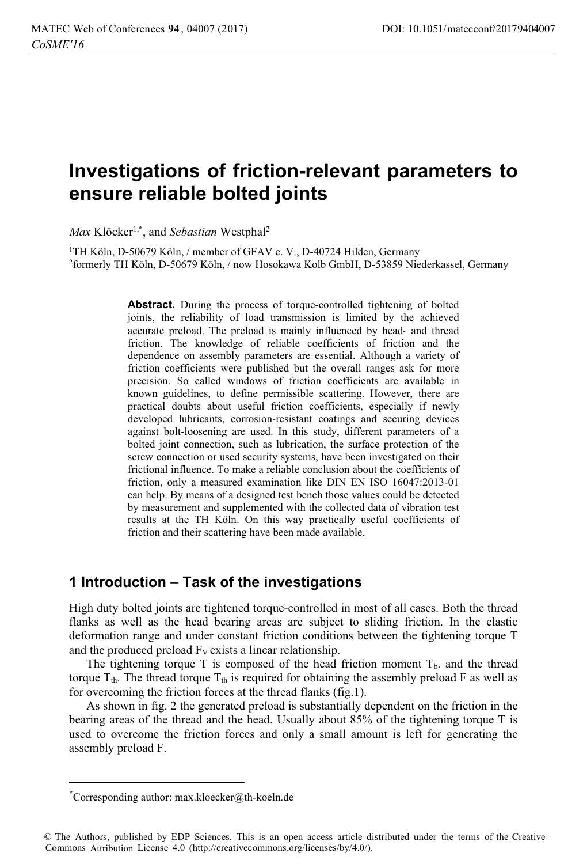# Investigations of friction-relevant parameters to ensure reliable bolted joints

Max Klöcker<sup>1,\*</sup>, and Sebastian Westphal<sup>2</sup>

<sup>1</sup>TH Köln, D-50679 Köln, / member of GFAV e. V., D-40724 Hilden, Germany <sup>2</sup>formerly TH Köln, D-50679 Köln, / now Hosokawa Kolb GmbH, D-53859 Niederkassel, Germany

> **Abstract.** During the process of torque-controlled tightening of bolted joints, the reliability of load transmission is limited by the achieved accurate preload. The preload is mainly influenced by head- and thread friction. The knowledge of reliable coefficients of friction and the dependence on assembly parameters are essential. Although a variety of friction coefficients were published but the overall ranges ask for more precision. So called windows of friction coefficients are available in known guidelines, to define permissible scattering. However, there are practical doubts about useful friction coefficients, especially if newly developed lubricants, corrosion-resistant coatings and securing devices against bolt-loosening are used. In this study, different parameters of a bolted joint connection, such as lubrication, the surface protection of the screw connection or used security systems, have been investigated on their frictional influence. To make a reliable conclusion about the coefficients of friction, only a measured examination like DIN EN ISO 16047:2013-01 can help. By means of a designed test bench those values could be detected by measurement and supplemented with the collected data of vibration test results at the TH Köln. On this way practically useful coefficients of friction and their scattering have been made available.

### 1 Introduction – Task of the investigations

High duty bolted joints are tightened torque-controlled in most of all cases. Both the thread flanks as well as the head bearing areas are subject to sliding friction. In the elastic deformation range and under constant friction conditions between the tightening torque T and the produced preload  $F_V$  exists a linear relationship.

The tightening torque T is composed of the head friction moment  $T<sub>b</sub>$  and the thread torque  $T_{th}$ . The thread torque  $T_{th}$  is required for obtaining the assembly preload F as well as for overcoming the friction forces at the thread flanks (fig.1).

As shown in fig. 2 the generated preload is substantially dependent on the friction in the bearing areas of the thread and the head. Usually about 85% of the tightening torque T is used to overcome the friction forces and only a small amount is left for generating the assembly preload F.

<sup>\*</sup>Corresponding author: max.kloecker@th-koeln.de

<sup>©</sup> The Authors, published by EDP Sciences. This is an open access article distributed under the terms of the Creative Commons Attribution License 4.0 (http://creativecommons.org/licenses/by/4.0/).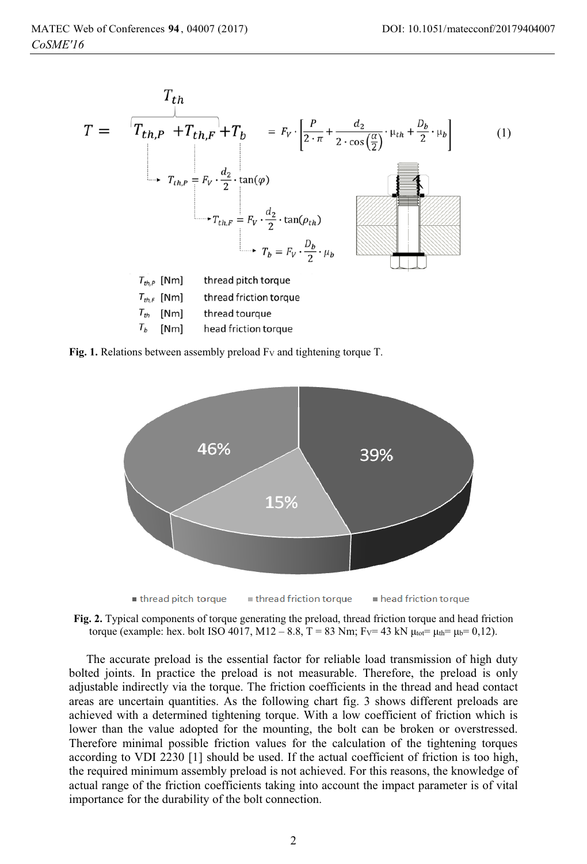$\mathbf{r}$ 

$$
T = \frac{T_{th}}{T_{th,P} + T_{th,F}} + T_b = F_v \cdot \left[\frac{P}{2 \cdot \pi} + \frac{d_2}{2 \cdot \cos(\frac{\alpha}{2})} \cdot \mu_{th} + \frac{D_b}{2} \cdot \mu_b\right]
$$
(1)  

$$
T_{th,P} = F_v \cdot \frac{d_2}{2} \cdot \tan(\varphi)
$$
  

$$
T_{th,F} = F_v \cdot \frac{d_2}{2} \cdot \tan(\rho_{th})
$$
  

$$
T_b = F_v \cdot \frac{D_b}{2} \cdot \mu_b
$$
  

$$
T_{th,P} \text{ [Nm]} \text{thread pitch torque}
$$
  

$$
T_{th} \text{ [Nm]} \text{thread friction torque}
$$
  

$$
T_b \text{ [Nm]} \text{head friction torque}
$$

Fig. 1. Relations between assembly preload  $F_v$  and tightening torque T.



Fig. 2. Typical components of torque generating the preload, thread friction torque and head friction torque (example: hex. bolt ISO 4017, M12 – 8.8, T = 83 Nm; F<sub>V</sub>= 43 kN  $\mu_{\text{tot}} = \mu_{\text{th}} = 0.12$ ).

The accurate preload is the essential factor for reliable load transmission of high duty bolted joints. In practice the preload is not measurable. Therefore, the preload is only adjustable indirectly via the torque. The friction coefficients in the thread and head contact areas are uncertain quantities. As the following chart fig. 3 shows different preloads are achieved with a determined tightening torque. With a low coefficient of friction which is lower than the value adopted for the mounting, the bolt can be broken or overstressed. Therefore minimal possible friction values for the calculation of the tightening torques according to VDI 2230 [1] should be used. If the actual coefficient of friction is too high, the required minimum assembly preload is not achieved. For this reasons, the knowledge of actual range of the friction coefficients taking into account the impact parameter is of vital importance for the durability of the bolt connection.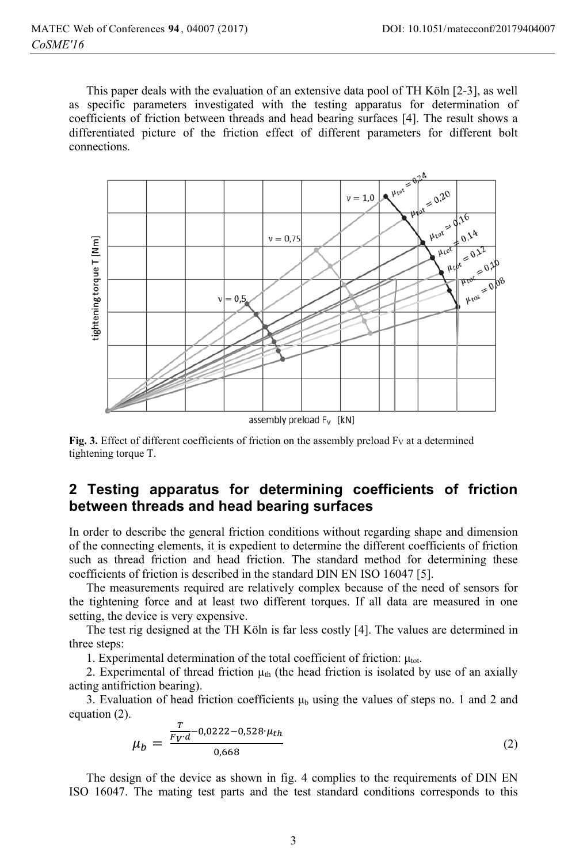This paper deals with the evaluation of an extensive data pool of TH Köln [2-3], as well as specific parameters investigated with the testing apparatus for determination of coefficients of friction between threads and head bearing surfaces [4]. The result shows a differentiated picture of the friction effect of different parameters for different bolt connections



Fig. 3. Effect of different coefficients of friction on the assembly preload Fy at a determined tightening torque T.

### 2 Testing apparatus for determining coefficients of friction between threads and head bearing surfaces

In order to describe the general friction conditions without regarding shape and dimension of the connecting elements, it is expedient to determine the different coefficients of friction such as thread friction and head friction. The standard method for determining these coefficients of friction is described in the standard DIN EN ISO 16047 [5].

The measurements required are relatively complex because of the need of sensors for the tightening force and at least two different torques. If all data are measured in one setting, the device is very expensive.

The test rig designed at the TH Köln is far less costly [4]. The values are determined in three steps:

1. Experimental determination of the total coefficient of friction:  $\mu_{\text{tot}}$ .

2. Experimental of thread friction  $\mu_{th}$  (the head friction is isolated by use of an axially acting antifriction bearing).

3. Evaluation of head friction coefficients  $\mu_b$  using the values of steps no. 1 and 2 and equation  $(2)$ .

$$
\mu_b = \frac{\frac{T}{F_V d} - 0.0222 - 0.528 \cdot \mu_{th}}{0.668} \tag{2}
$$

The design of the device as shown in fig. 4 complies to the requirements of DIN EN ISO 16047. The mating test parts and the test standard conditions corresponds to this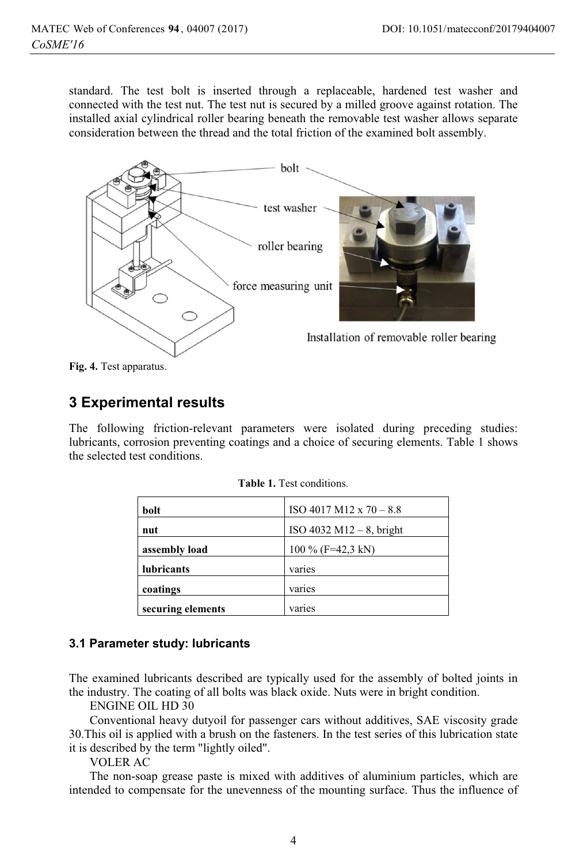standard. The test bolt is inserted through a replaceable, hardened test washer and connected with the test nut. The test nut is secured by a milled groove against rotation. The installed axial cylindrical roller bearing beneath the removable test washer allows separate consideration between the thread and the total friction of the examined bolt assembly.



Fig. 4. Test apparatus.

## **3 Experimental results**

The following friction-relevant parameters were isolated during preceding studies: lubricants, corrosion preventing coatings and a choice of securing elements. Table 1 shows the selected test conditions.

| bolt              | ISO 4017 M12 x $70 - 8.8$   |
|-------------------|-----------------------------|
| nut               | $ISO 4032 M12 - 8$ , bright |
| assembly load     | 100 % (F=42,3 kN)           |
| lubricants        | varies                      |
| coatings          | varies                      |
| securing elements | varies                      |

### 3.1 Parameter study: lubricants

The examined lubricants described are typically used for the assembly of bolted joints in the industry. The coating of all bolts was black oxide. Nuts were in bright condition.

**ENGINE OIL HD 30** 

Conventional heavy dutyoil for passenger cars without additives, SAE viscosity grade 30. This oil is applied with a brush on the fasteners. In the test series of this lubrication state it is described by the term "lightly oiled".

**VOLER AC** 

The non-soap grease paste is mixed with additives of aluminium particles, which are intended to compensate for the unevenness of the mounting surface. Thus the influence of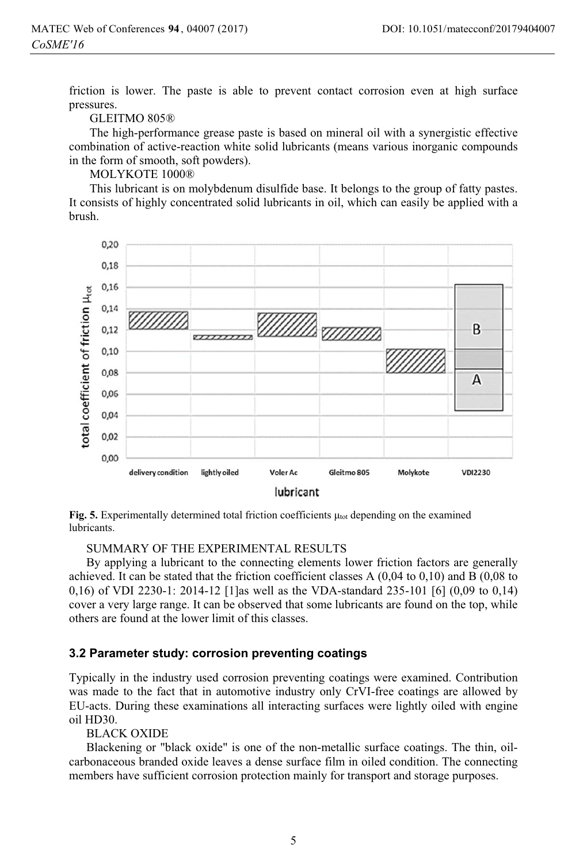friction is lower. The paste is able to prevent contact corrosion even at high surface pressures.

#### GLEITMO 805®

The high-performance grease paste is based on mineral oil with a synergistic effective combination of active-reaction white solid lubricants (means various inorganic compounds in the form of smooth, soft powders).

MOLYKOTE 1000®

This lubricant is on molybdenum disulfide base. It belongs to the group of fatty pastes. It consists of highly concentrated solid lubricants in oil, which can easily be applied with a brush.



Fig. 5. Experimentally determined total friction coefficients  $\mu_{\text{tot}}$  depending on the examined lubricants.

#### SUMMARY OF THE EXPERIMENTAL RESULTS

By applying a lubricant to the connecting elements lower friction factors are generally achieved. It can be stated that the friction coefficient classes  $A(0,04$  to  $0,10)$  and  $B(0,08)$  to 0,16) of VDI 2230-1: 2014-12 [1] as well as the VDA-standard 235-101 [6] (0,09 to 0,14) cover a very large range. It can be observed that some lubricants are found on the top, while others are found at the lower limit of this classes.

#### 3.2 Parameter study: corrosion preventing coatings

Typically in the industry used corrosion preventing coatings were examined. Contribution was made to the fact that in automotive industry only CrVI-free coatings are allowed by EU-acts. During these examinations all interacting surfaces were lightly oiled with engine oil HD30.

**BLACK OXIDE** 

Blackening or "black oxide" is one of the non-metallic surface coatings. The thin, oilcarbonaceous branded oxide leaves a dense surface film in oiled condition. The connecting members have sufficient corrosion protection mainly for transport and storage purposes.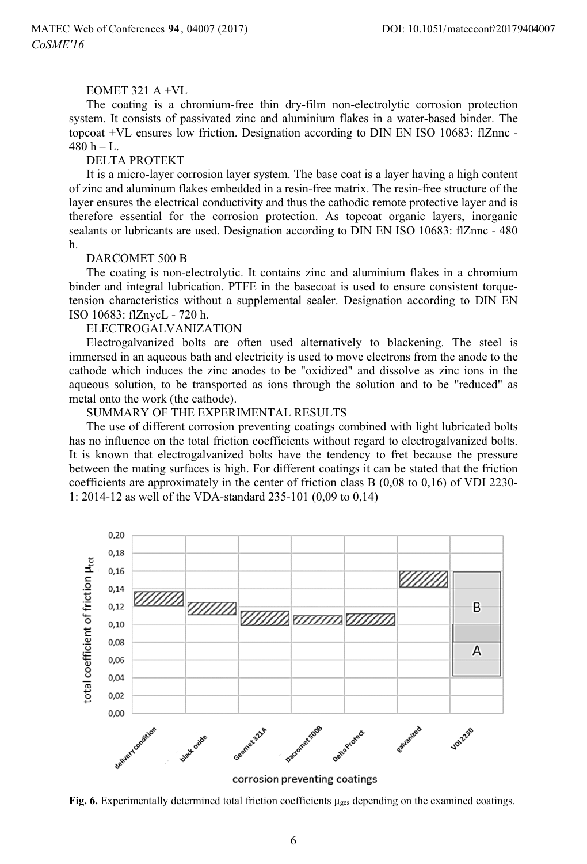### EOMET 321 A  $+VI$ .

The coating is a chromium-free thin dry-film non-electrolytic corrosion protection system. It consists of passivated zinc and aluminium flakes in a water-based binder. The topcoat +VL ensures low friction. Designation according to DIN EN ISO 10683: flZnnc - $480 h - L.$ 

#### **DELTA PROTEKT**

It is a micro-layer corrosion layer system. The base coat is a layer having a high content of zinc and aluminum flakes embedded in a resin-free matrix. The resin-free structure of the layer ensures the electrical conductivity and thus the cathodic remote protective layer and is therefore essential for the corrosion protection. As topcoat organic layers, inorganic sealants or lubricants are used. Designation according to DIN EN ISO 10683: flZnnc - 480 h

#### DARCOMET 500 B

The coating is non-electrolytic. It contains zinc and aluminium flakes in a chromium binder and integral lubrication. PTFE in the basecoat is used to ensure consistent torquetension characteristics without a supplemental sealer. Designation according to DIN EN ISO 10683: flZnycL - 720 h.

#### **ELECTROGALVANIZATION**

Electrogalvanized bolts are often used alternatively to blackening. The steel is immersed in an aqueous bath and electricity is used to move electrons from the anode to the cathode which induces the zinc anodes to be "oxidized" and dissolve as zinc ions in the aqueous solution, to be transported as ions through the solution and to be "reduced" as metal onto the work (the cathode).

#### SUMMARY OF THE EXPERIMENTAL RESULTS

The use of different corrosion preventing coatings combined with light lubricated bolts has no influence on the total friction coefficients without regard to electrogalvanized bolts. It is known that electrogalvanized bolts have the tendency to fret because the pressure between the mating surfaces is high. For different coatings it can be stated that the friction coefficients are approximately in the center of friction class  $B(0,08 \text{ to } 0,16)$  of VDI 2230-1: 2014-12 as well of the VDA-standard 235-101 (0,09 to 0,14)



corrosion preventing coatings

Fig. 6. Experimentally determined total friction coefficients  $\mu_{\text{ges}}$  depending on the examined coatings.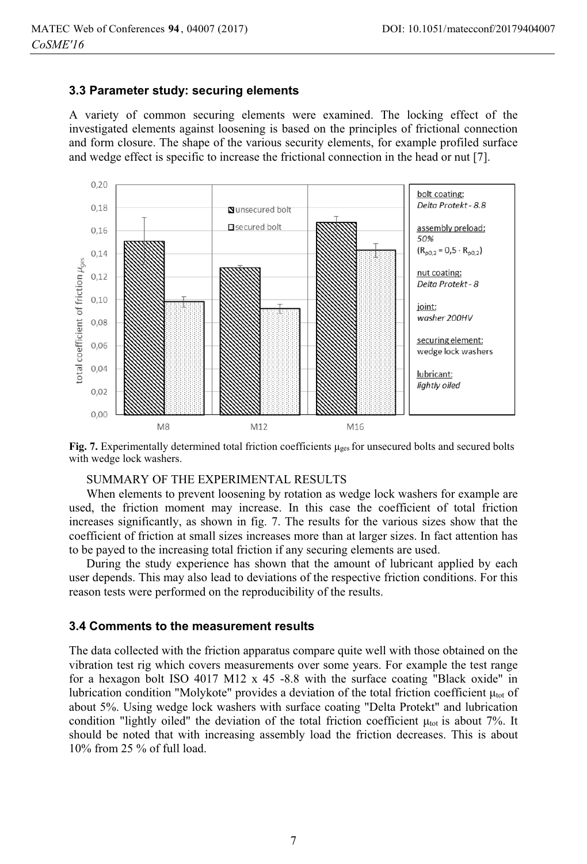#### 3.3 Parameter study: securing elements

A variety of common securing elements were examined. The locking effect of the investigated elements against loosening is based on the principles of frictional connection and form closure. The shape of the various security elements, for example profiled surface and wedge effect is specific to increase the frictional connection in the head or nut [7].



Fig. 7. Experimentally determined total friction coefficients  $\mu_{\text{ges}}$  for unsecured bolts and secured bolts with wedge lock washers.

#### SUMMARY OF THE EXPERIMENTAL RESULTS

When elements to prevent loosening by rotation as wedge lock washers for example are used, the friction moment may increase. In this case the coefficient of total friction increases significantly, as shown in fig. 7. The results for the various sizes show that the coefficient of friction at small sizes increases more than at larger sizes. In fact attention has to be payed to the increasing total friction if any securing elements are used.

During the study experience has shown that the amount of lubricant applied by each user depends. This may also lead to deviations of the respective friction conditions. For this reason tests were performed on the reproducibility of the results.

### 3.4 Comments to the measurement results

The data collected with the friction apparatus compare quite well with those obtained on the vibration test rig which covers measurements over some years. For example the test range for a hexagon bolt ISO 4017 M12 x 45 -8.8 with the surface coating "Black oxide" in lubrication condition "Molykote" provides a deviation of the total friction coefficient  $\mu_{tot}$  of about 5%. Using wedge lock washers with surface coating "Delta Protekt" and lubrication condition "lightly oiled" the deviation of the total friction coefficient  $\mu_{tot}$  is about 7%. It should be noted that with increasing assembly load the friction decreases. This is about  $10\%$  from 25 % of full load.